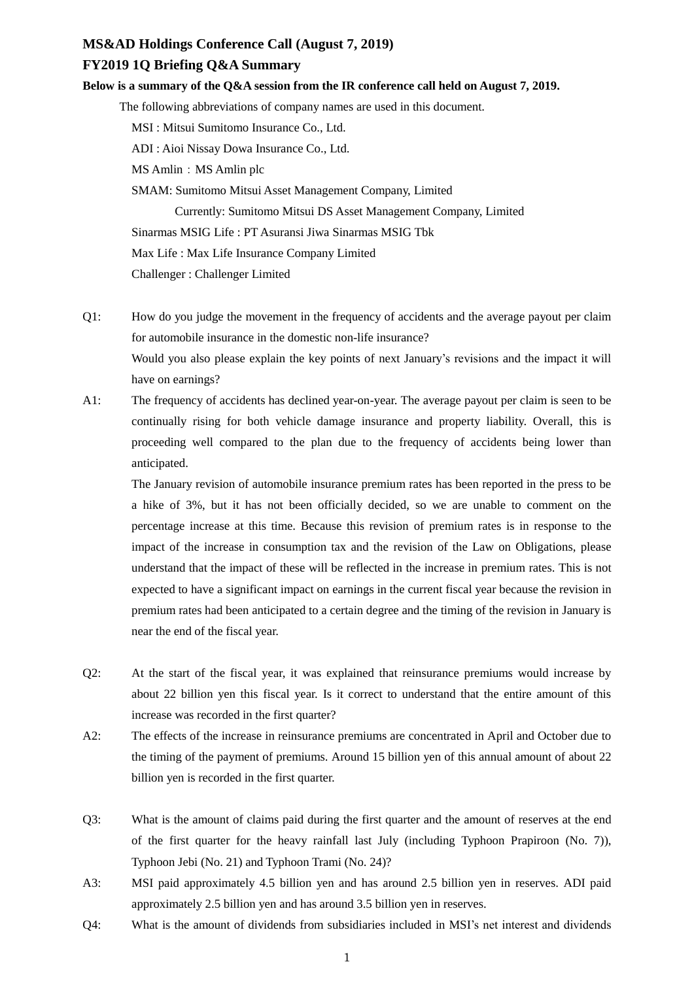## **MS&AD Holdings Conference Call (August 7, 2019)**

## **FY2019 1Q Briefing Q&A Summary**

## **Below is a summary of the Q&A session from the IR conference call held on August 7, 2019.**

The following abbreviations of company names are used in this document.

MSI : Mitsui Sumitomo Insurance Co., Ltd.

ADI : Aioi Nissay Dowa Insurance Co., Ltd.

MS Amlin: MS Amlin plc

SMAM: Sumitomo Mitsui Asset Management Company, Limited

Currently: Sumitomo Mitsui DS Asset Management Company, Limited

Sinarmas MSIG Life : PT Asuransi Jiwa Sinarmas MSIG Tbk

Max Life : Max Life Insurance Company Limited

Challenger : Challenger Limited

- Q1: How do you judge the movement in the frequency of accidents and the average payout per claim for automobile insurance in the domestic non-life insurance? Would you also please explain the key points of next January's revisions and the impact it will have on earnings?
- A1: The frequency of accidents has declined year-on-year. The average payout per claim is seen to be continually rising for both vehicle damage insurance and property liability. Overall, this is proceeding well compared to the plan due to the frequency of accidents being lower than anticipated.

The January revision of automobile insurance premium rates has been reported in the press to be a hike of 3%, but it has not been officially decided, so we are unable to comment on the percentage increase at this time. Because this revision of premium rates is in response to the impact of the increase in consumption tax and the revision of the Law on Obligations, please understand that the impact of these will be reflected in the increase in premium rates. This is not expected to have a significant impact on earnings in the current fiscal year because the revision in premium rates had been anticipated to a certain degree and the timing of the revision in January is near the end of the fiscal year.

- Q2: At the start of the fiscal year, it was explained that reinsurance premiums would increase by about 22 billion yen this fiscal year. Is it correct to understand that the entire amount of this increase was recorded in the first quarter?
- A2: The effects of the increase in reinsurance premiums are concentrated in April and October due to the timing of the payment of premiums. Around 15 billion yen of this annual amount of about 22 billion yen is recorded in the first quarter.
- Q3: What is the amount of claims paid during the first quarter and the amount of reserves at the end of the first quarter for the heavy rainfall last July (including Typhoon Prapiroon (No. 7)), Typhoon Jebi (No. 21) and Typhoon Trami (No. 24)?
- A3: MSI paid approximately 4.5 billion yen and has around 2.5 billion yen in reserves. ADI paid approximately 2.5 billion yen and has around 3.5 billion yen in reserves.
- Q4: What is the amount of dividends from subsidiaries included in MSI's net interest and dividends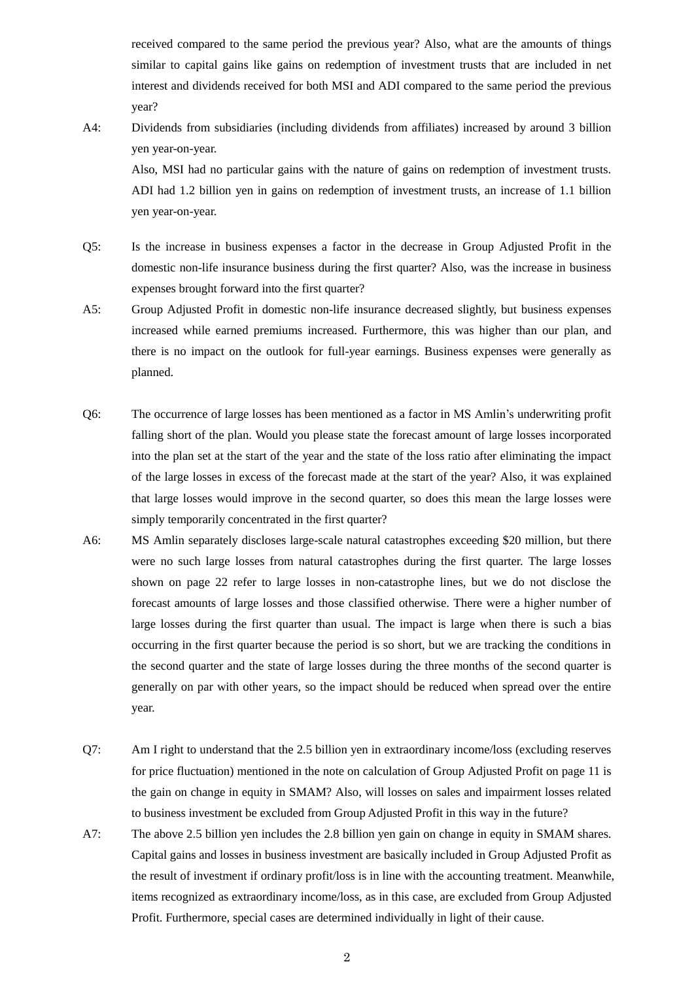received compared to the same period the previous year? Also, what are the amounts of things similar to capital gains like gains on redemption of investment trusts that are included in net interest and dividends received for both MSI and ADI compared to the same period the previous year?

A4: Dividends from subsidiaries (including dividends from affiliates) increased by around 3 billion yen year-on-year.

Also, MSI had no particular gains with the nature of gains on redemption of investment trusts. ADI had 1.2 billion yen in gains on redemption of investment trusts, an increase of 1.1 billion yen year-on-year.

- Q5: Is the increase in business expenses a factor in the decrease in Group Adjusted Profit in the domestic non-life insurance business during the first quarter? Also, was the increase in business expenses brought forward into the first quarter?
- A5: Group Adjusted Profit in domestic non-life insurance decreased slightly, but business expenses increased while earned premiums increased. Furthermore, this was higher than our plan, and there is no impact on the outlook for full-year earnings. Business expenses were generally as planned.
- Q6: The occurrence of large losses has been mentioned as a factor in MS Amlin's underwriting profit falling short of the plan. Would you please state the forecast amount of large losses incorporated into the plan set at the start of the year and the state of the loss ratio after eliminating the impact of the large losses in excess of the forecast made at the start of the year? Also, it was explained that large losses would improve in the second quarter, so does this mean the large losses were simply temporarily concentrated in the first quarter?
- A6: MS Amlin separately discloses large-scale natural catastrophes exceeding \$20 million, but there were no such large losses from natural catastrophes during the first quarter. The large losses shown on page 22 refer to large losses in non-catastrophe lines, but we do not disclose the forecast amounts of large losses and those classified otherwise. There were a higher number of large losses during the first quarter than usual. The impact is large when there is such a bias occurring in the first quarter because the period is so short, but we are tracking the conditions in the second quarter and the state of large losses during the three months of the second quarter is generally on par with other years, so the impact should be reduced when spread over the entire year.
- Q7: Am I right to understand that the 2.5 billion yen in extraordinary income/loss (excluding reserves for price fluctuation) mentioned in the note on calculation of Group Adjusted Profit on page 11 is the gain on change in equity in SMAM? Also, will losses on sales and impairment losses related to business investment be excluded from Group Adjusted Profit in this way in the future?
- A7: The above 2.5 billion yen includes the 2.8 billion yen gain on change in equity in SMAM shares. Capital gains and losses in business investment are basically included in Group Adjusted Profit as the result of investment if ordinary profit/loss is in line with the accounting treatment. Meanwhile, items recognized as extraordinary income/loss, as in this case, are excluded from Group Adjusted Profit. Furthermore, special cases are determined individually in light of their cause.